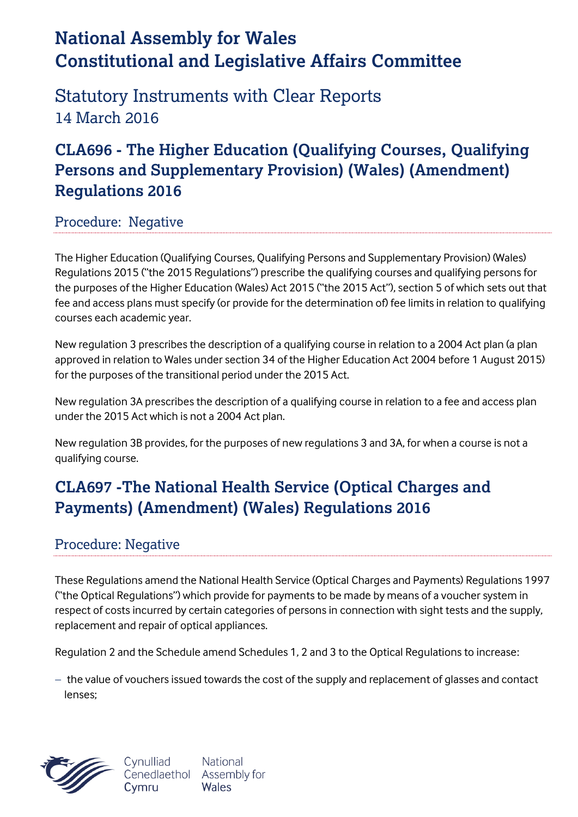# **National Assembly for Wales Constitutional and Legislative Affairs Committee**

Statutory Instruments with Clear Reports 14 March 2016

### **CLA696 - The Higher Education (Qualifying Courses, Qualifying Persons and Supplementary Provision) (Wales) (Amendment) Regulations 2016**

#### Procedure: Negative

The Higher Education (Qualifying Courses, Qualifying Persons and Supplementary Provision) (Wales) Regulations 2015 ("the 2015 Regulations") prescribe the qualifying courses and qualifying persons for the purposes of the Higher Education (Wales) Act 2015 ("the 2015 Act"), section 5 of which sets out that fee and access plans must specify (or provide for the determination of) fee limits in relation to qualifying courses each academic year.

New regulation 3 prescribes the description of a qualifying course in relation to a 2004 Act plan (a plan approved in relation to Wales under section 34 of the Higher Education Act 2004 before 1 August 2015) for the purposes of the transitional period under the 2015 Act.

New regulation 3A prescribes the description of a qualifying course in relation to a fee and access plan under the 2015 Act which is not a 2004 Act plan.

New regulation 3B provides, for the purposes of new regulations 3 and 3A, for when a course is not a qualifying course.

## **CLA697 -The National Health Service (Optical Charges and Payments) (Amendment) (Wales) Regulations 2016**

### Procedure: Negative

These Regulations amend the National Health Service (Optical Charges and Payments) Regulations 1997 ("the Optical Regulations") which provide for payments to be made by means of a voucher system in respect of costs incurred by certain categories of persons in connection with sight tests and the supply, replacement and repair of optical appliances.

Regulation 2 and the Schedule amend Schedules 1, 2 and 3 to the Optical Regulations to increase:

 $-$  the value of vouchers issued towards the cost of the supply and replacement of glasses and contact lenses;